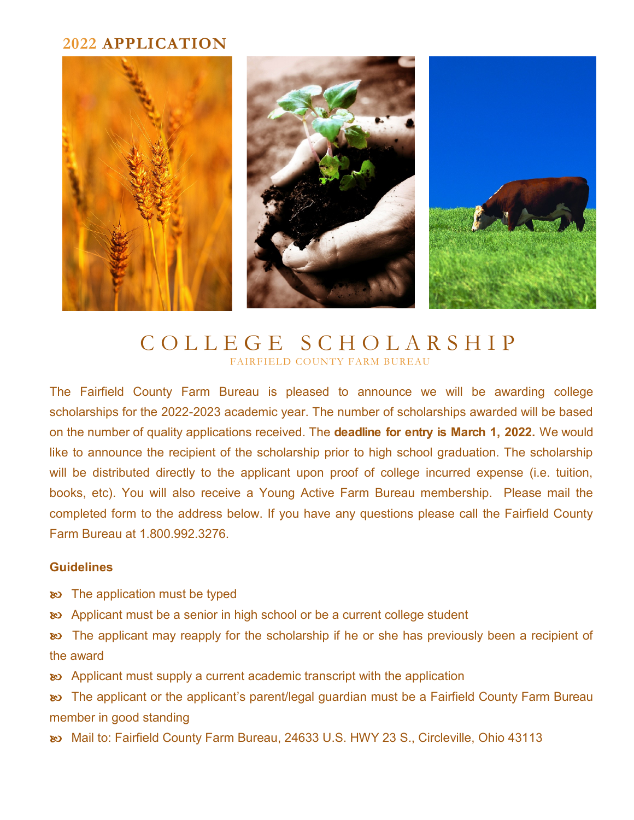### **2022 APPLICATION**



# C O L L E G E S C H O L A R S H I P FAIRFIELD COUNTY FARM BUREAU

The Fairfield County Farm Bureau is pleased to announce we will be awarding college scholarships for the 2022-2023 academic year. The number of scholarships awarded will be based on the number of quality applications received. The **deadline for entry is March 1, 2022.** We would like to announce the recipient of the scholarship prior to high school graduation. The scholarship will be distributed directly to the applicant upon proof of college incurred expense (i.e. tuition, books, etc). You will also receive a Young Active Farm Bureau membership. Please mail the completed form to the address below. If you have any questions please call the Fairfield County Farm Bureau at 1.800.992.3276.

### **Guidelines**

- $\infty$  The application must be typed
- Applicant must be a senior in high school or be a current college student

 The applicant may reapply for the scholarship if he or she has previously been a recipient of the award

Applicant must supply a current academic transcript with the application

 The applicant or the applicant's parent/legal guardian must be a Fairfield County Farm Bureau member in good standing

Mail to: Fairfield County Farm Bureau, 24633 U.S. HWY 23 S., Circleville, Ohio 43113